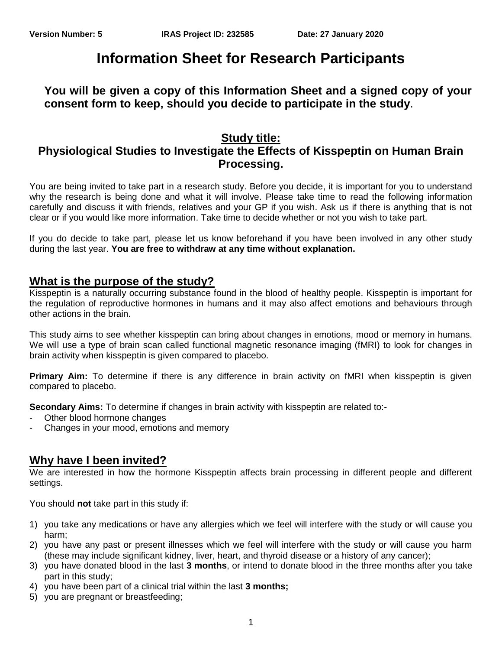# **Information Sheet for Research Participants**

#### **You will be given a copy of this Information Sheet and a signed copy of your consent form to keep, should you decide to participate in the study**.

## **Study title:**

## **Physiological Studies to Investigate the Effects of Kisspeptin on Human Brain Processing.**

You are being invited to take part in a research study. Before you decide, it is important for you to understand why the research is being done and what it will involve. Please take time to read the following information carefully and discuss it with friends, relatives and your GP if you wish. Ask us if there is anything that is not clear or if you would like more information. Take time to decide whether or not you wish to take part.

If you do decide to take part, please let us know beforehand if you have been involved in any other study during the last year. **You are free to withdraw at any time without explanation.**

#### **What is the purpose of the study?**

Kisspeptin is a naturally occurring substance found in the blood of healthy people. Kisspeptin is important for the regulation of reproductive hormones in humans and it may also affect emotions and behaviours through other actions in the brain.

This study aims to see whether kisspeptin can bring about changes in emotions, mood or memory in humans. We will use a type of brain scan called functional magnetic resonance imaging (fMRI) to look for changes in brain activity when kisspeptin is given compared to placebo.

**Primary Aim:** To determine if there is any difference in brain activity on fMRI when kisspeptin is given compared to placebo.

**Secondary Aims:** To determine if changes in brain activity with kisspeptin are related to:-

- Other blood hormone changes
- Changes in your mood, emotions and memory

#### **Why have I been invited?**

We are interested in how the hormone Kisspeptin affects brain processing in different people and different settings.

You should **not** take part in this study if:

- 1) you take any medications or have any allergies which we feel will interfere with the study or will cause you harm;
- 2) you have any past or present illnesses which we feel will interfere with the study or will cause you harm (these may include significant kidney, liver, heart, and thyroid disease or a history of any cancer);
- 3) you have donated blood in the last **3 months**, or intend to donate blood in the three months after you take part in this study;
- 4) you have been part of a clinical trial within the last **3 months;**
- 5) you are pregnant or breastfeeding;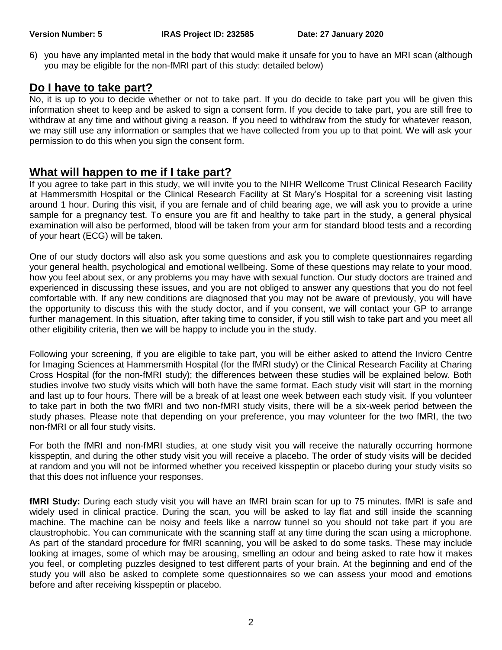6) you have any implanted metal in the body that would make it unsafe for you to have an MRI scan (although you may be eligible for the non-fMRI part of this study: detailed below)

### **Do I have to take part?**

No, it is up to you to decide whether or not to take part. If you do decide to take part you will be given this information sheet to keep and be asked to sign a consent form. If you decide to take part, you are still free to withdraw at any time and without giving a reason. If you need to withdraw from the study for whatever reason, we may still use any information or samples that we have collected from you up to that point. We will ask your permission to do this when you sign the consent form.

## **What will happen to me if I take part?**

If you agree to take part in this study, we will invite you to the NIHR Wellcome Trust Clinical Research Facility at Hammersmith Hospital or the Clinical Research Facility at St Mary's Hospital for a screening visit lasting around 1 hour. During this visit, if you are female and of child bearing age, we will ask you to provide a urine sample for a pregnancy test. To ensure you are fit and healthy to take part in the study, a general physical examination will also be performed, blood will be taken from your arm for standard blood tests and a recording of your heart (ECG) will be taken.

One of our study doctors will also ask you some questions and ask you to complete questionnaires regarding your general health, psychological and emotional wellbeing. Some of these questions may relate to your mood, how you feel about sex, or any problems you may have with sexual function. Our study doctors are trained and experienced in discussing these issues, and you are not obliged to answer any questions that you do not feel comfortable with. If any new conditions are diagnosed that you may not be aware of previously, you will have the opportunity to discuss this with the study doctor, and if you consent, we will contact your GP to arrange further management. In this situation, after taking time to consider, if you still wish to take part and you meet all other eligibility criteria, then we will be happy to include you in the study.

Following your screening, if you are eligible to take part, you will be either asked to attend the Invicro Centre for Imaging Sciences at Hammersmith Hospital (for the fMRI study) or the Clinical Research Facility at Charing Cross Hospital (for the non-fMRI study); the differences between these studies will be explained below. Both studies involve two study visits which will both have the same format. Each study visit will start in the morning and last up to four hours. There will be a break of at least one week between each study visit. If you volunteer to take part in both the two fMRI and two non-fMRI study visits, there will be a six-week period between the study phases. Please note that depending on your preference, you may volunteer for the two fMRI, the two non-fMRI or all four study visits.

For both the fMRI and non-fMRI studies, at one study visit you will receive the naturally occurring hormone kisspeptin, and during the other study visit you will receive a placebo. The order of study visits will be decided at random and you will not be informed whether you received kisspeptin or placebo during your study visits so that this does not influence your responses.

**fMRI Study:** During each study visit you will have an fMRI brain scan for up to 75 minutes. fMRI is safe and widely used in clinical practice. During the scan, you will be asked to lay flat and still inside the scanning machine. The machine can be noisy and feels like a narrow tunnel so you should not take part if you are claustrophobic. You can communicate with the scanning staff at any time during the scan using a microphone. As part of the standard procedure for fMRI scanning, you will be asked to do some tasks. These may include looking at images, some of which may be arousing, smelling an odour and being asked to rate how it makes you feel, or completing puzzles designed to test different parts of your brain. At the beginning and end of the study you will also be asked to complete some questionnaires so we can assess your mood and emotions before and after receiving kisspeptin or placebo.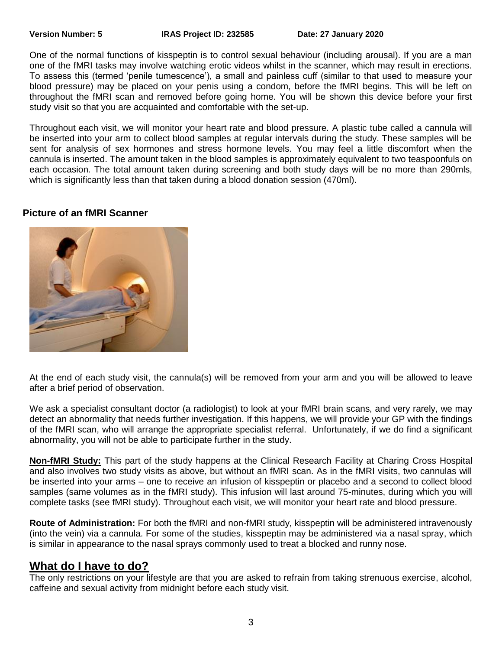One of the normal functions of kisspeptin is to control sexual behaviour (including arousal). If you are a man one of the fMRI tasks may involve watching erotic videos whilst in the scanner, which may result in erections. To assess this (termed 'penile tumescence'), a small and painless cuff (similar to that used to measure your blood pressure) may be placed on your penis using a condom, before the fMRI begins. This will be left on throughout the fMRI scan and removed before going home. You will be shown this device before your first study visit so that you are acquainted and comfortable with the set-up.

Throughout each visit, we will monitor your heart rate and blood pressure. A plastic tube called a cannula will be inserted into your arm to collect blood samples at regular intervals during the study. These samples will be sent for analysis of sex hormones and stress hormone levels. You may feel a little discomfort when the cannula is inserted. The amount taken in the blood samples is approximately equivalent to two teaspoonfuls on each occasion. The total amount taken during screening and both study days will be no more than 290mls, which is significantly less than that taken during a blood donation session (470ml).

#### **Picture of an fMRI Scanner**



At the end of each study visit, the cannula(s) will be removed from your arm and you will be allowed to leave after a brief period of observation.

We ask a specialist consultant doctor (a radiologist) to look at your fMRI brain scans, and very rarely, we may detect an abnormality that needs further investigation. If this happens, we will provide your GP with the findings of the fMRI scan, who will arrange the appropriate specialist referral. Unfortunately, if we do find a significant abnormality, you will not be able to participate further in the study.

**Non-fMRI Study:** This part of the study happens at the Clinical Research Facility at Charing Cross Hospital and also involves two study visits as above, but without an fMRI scan. As in the fMRI visits, two cannulas will be inserted into your arms – one to receive an infusion of kisspeptin or placebo and a second to collect blood samples (same volumes as in the fMRI study). This infusion will last around 75-minutes, during which you will complete tasks (see fMRI study). Throughout each visit, we will monitor your heart rate and blood pressure.

**Route of Administration:** For both the fMRI and non-fMRI study, kisspeptin will be administered intravenously (into the vein) via a cannula. For some of the studies, kisspeptin may be administered via a nasal spray, which is similar in appearance to the nasal sprays commonly used to treat a blocked and runny nose.

#### **What do I have to do?**

The only restrictions on your lifestyle are that you are asked to refrain from taking strenuous exercise, alcohol, caffeine and sexual activity from midnight before each study visit.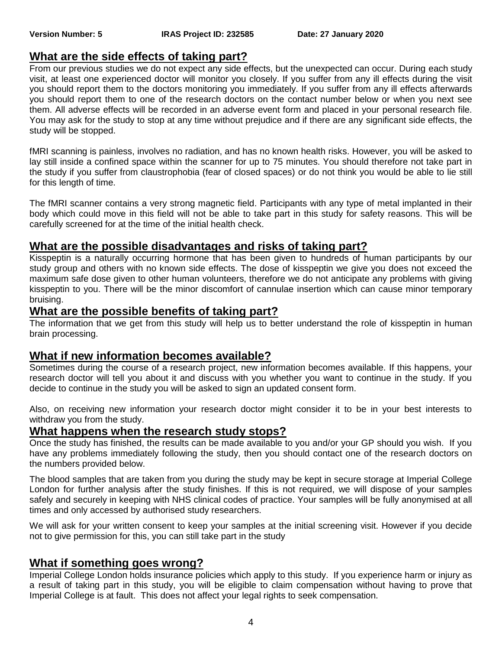## **What are the side effects of taking part?**

From our previous studies we do not expect any side effects, but the unexpected can occur. During each study visit, at least one experienced doctor will monitor you closely. If you suffer from any ill effects during the visit you should report them to the doctors monitoring you immediately. If you suffer from any ill effects afterwards you should report them to one of the research doctors on the contact number below or when you next see them. All adverse effects will be recorded in an adverse event form and placed in your personal research file. You may ask for the study to stop at any time without prejudice and if there are any significant side effects, the study will be stopped.

fMRI scanning is painless, involves no radiation, and has no known health risks. However, you will be asked to lay still inside a confined space within the scanner for up to 75 minutes. You should therefore not take part in the study if you suffer from claustrophobia (fear of closed spaces) or do not think you would be able to lie still for this length of time.

The fMRI scanner contains a very strong magnetic field. Participants with any type of metal implanted in their body which could move in this field will not be able to take part in this study for safety reasons. This will be carefully screened for at the time of the initial health check.

#### **What are the possible disadvantages and risks of taking part?**

Kisspeptin is a naturally occurring hormone that has been given to hundreds of human participants by our study group and others with no known side effects. The dose of kisspeptin we give you does not exceed the maximum safe dose given to other human volunteers, therefore we do not anticipate any problems with giving kisspeptin to you. There will be the minor discomfort of cannulae insertion which can cause minor temporary bruising.

#### **What are the possible benefits of taking part?**

The information that we get from this study will help us to better understand the role of kisspeptin in human brain processing.

#### **What if new information becomes available?**

Sometimes during the course of a research project, new information becomes available. If this happens, your research doctor will tell you about it and discuss with you whether you want to continue in the study. If you decide to continue in the study you will be asked to sign an updated consent form.

Also, on receiving new information your research doctor might consider it to be in your best interests to withdraw you from the study.

#### **What happens when the research study stops?**

Once the study has finished, the results can be made available to you and/or your GP should you wish. If you have any problems immediately following the study, then you should contact one of the research doctors on the numbers provided below.

The blood samples that are taken from you during the study may be kept in secure storage at Imperial College London for further analysis after the study finishes. If this is not required, we will dispose of your samples safely and securely in keeping with NHS clinical codes of practice. Your samples will be fully anonymised at all times and only accessed by authorised study researchers.

We will ask for your written consent to keep your samples at the initial screening visit. However if you decide not to give permission for this, you can still take part in the study

#### **What if something goes wrong?**

Imperial College London holds insurance policies which apply to this study. If you experience harm or injury as a result of taking part in this study, you will be eligible to claim compensation without having to prove that Imperial College is at fault. This does not affect your legal rights to seek compensation.